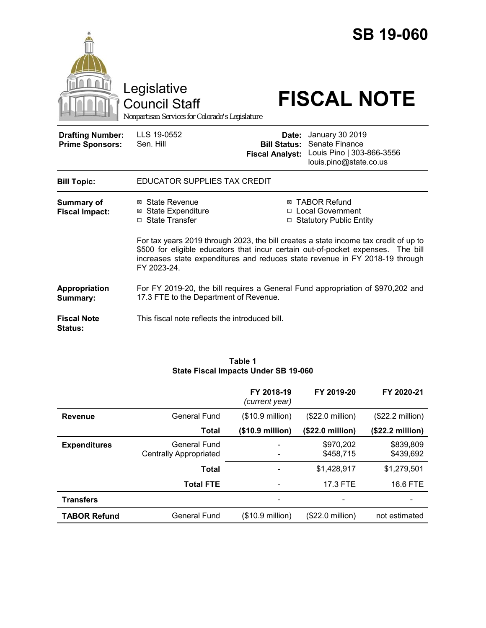|                                                   | Legislative<br><b>Council Staff</b><br>Nonpartisan Services for Colorado's Legislature |                                                        | <b>SB 19-060</b><br><b>FISCAL NOTE</b>                                                                                                                                                                                                                                                                                             |
|---------------------------------------------------|----------------------------------------------------------------------------------------|--------------------------------------------------------|------------------------------------------------------------------------------------------------------------------------------------------------------------------------------------------------------------------------------------------------------------------------------------------------------------------------------------|
| <b>Drafting Number:</b><br><b>Prime Sponsors:</b> | LLS 19-0552<br>Sen. Hill                                                               | Date:<br><b>Bill Status:</b><br><b>Fiscal Analyst:</b> | <b>January 30 2019</b><br>Senate Finance<br>Louis Pino   303-866-3556<br>louis.pino@state.co.us                                                                                                                                                                                                                                    |
| <b>Bill Topic:</b>                                | EDUCATOR SUPPLIES TAX CREDIT                                                           |                                                        |                                                                                                                                                                                                                                                                                                                                    |
| <b>Summary of</b><br><b>Fiscal Impact:</b>        | ⊠ State Revenue<br><b>⊠ State Expenditure</b><br>□ State Transfer                      | $\Box$                                                 | ⊠ TABOR Refund<br>□ Local Government<br><b>Statutory Public Entity</b><br>For tax years 2019 through 2023, the bill creates a state income tax credit of up to<br>\$500 for eligible educators that incur certain out-of-pocket expenses. The bill<br>increases state expenditures and reduces state revenue in FY 2018-19 through |
|                                                   | FY 2023-24.                                                                            |                                                        |                                                                                                                                                                                                                                                                                                                                    |
| Appropriation<br>Summary:                         | 17.3 FTE to the Department of Revenue.                                                 |                                                        | For FY 2019-20, the bill requires a General Fund appropriation of \$970,202 and                                                                                                                                                                                                                                                    |
| <b>Fiscal Note</b><br><b>Status:</b>              | This fiscal note reflects the introduced bill.                                         |                                                        |                                                                                                                                                                                                                                                                                                                                    |

#### **Table 1 State Fiscal Impacts Under SB 19-060**

|                     |                                               | FY 2018-19<br>(current year) | FY 2019-20                | FY 2020-21                |
|---------------------|-----------------------------------------------|------------------------------|---------------------------|---------------------------|
| <b>Revenue</b>      | General Fund                                  | (\$10.9 million)             | $($22.0 \text{ million})$ | $($22.2 \text{ million})$ |
|                     | <b>Total</b>                                  | $($10.9 \text{ million})$    | $($22.0 \text{ million})$ | $($22.2 \text{ million})$ |
| <b>Expenditures</b> | General Fund<br><b>Centrally Appropriated</b> |                              | \$970,202<br>\$458.715    | \$839,809<br>\$439,692    |
|                     | <b>Total</b>                                  |                              | \$1,428,917               | \$1,279,501               |
|                     | <b>Total FTE</b>                              |                              | 17.3 FTE                  | 16.6 FTE                  |
| <b>Transfers</b>    |                                               |                              |                           |                           |
| <b>TABOR Refund</b> | General Fund                                  | (\$10.9 million)             | $($22.0 \text{ million})$ | not estimated             |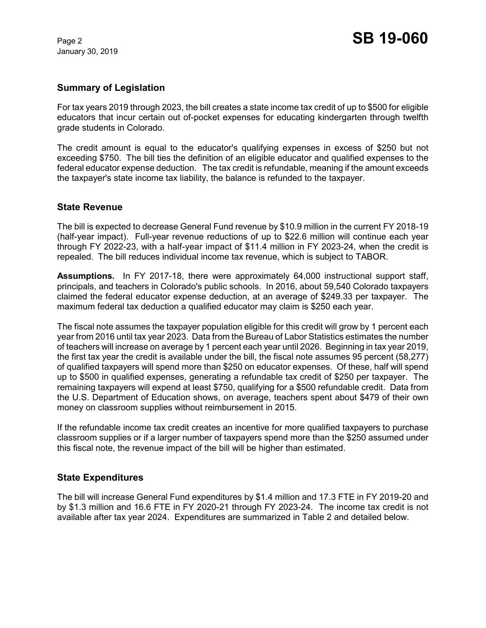January 30, 2019

## **Summary of Legislation**

For tax years 2019 through 2023, the bill creates a state income tax credit of up to \$500 for eligible educators that incur certain out of-pocket expenses for educating kindergarten through twelfth grade students in Colorado.

The credit amount is equal to the educator's qualifying expenses in excess of \$250 but not exceeding \$750. The bill ties the definition of an eligible educator and qualified expenses to the federal educator expense deduction. The tax credit is refundable, meaning if the amount exceeds the taxpayer's state income tax liability, the balance is refunded to the taxpayer.

# **State Revenue**

The bill is expected to decrease General Fund revenue by \$10.9 million in the current FY 2018-19 (half-year impact). Full-year revenue reductions of up to \$22.6 million will continue each year through FY 2022-23, with a half-year impact of \$11.4 million in FY 2023-24, when the credit is repealed. The bill reduces individual income tax revenue, which is subject to TABOR.

**Assumptions.** In FY 2017-18, there were approximately 64,000 instructional support staff, principals, and teachers in Colorado's public schools. In 2016, about 59,540 Colorado taxpayers claimed the federal educator expense deduction, at an average of \$249.33 per taxpayer. The maximum federal tax deduction a qualified educator may claim is \$250 each year.

The fiscal note assumes the taxpayer population eligible for this credit will grow by 1 percent each year from 2016 until tax year 2023. Data from the Bureau of Labor Statistics estimates the number of teachers will increase on average by 1 percent each year until 2026. Beginning in tax year 2019, the first tax year the credit is available under the bill, the fiscal note assumes 95 percent (58,277) of qualified taxpayers will spend more than \$250 on educator expenses. Of these, half will spend up to \$500 in qualified expenses, generating a refundable tax credit of \$250 per taxpayer. The remaining taxpayers will expend at least \$750, qualifying for a \$500 refundable credit. Data from the U.S. Department of Education shows, on average, teachers spent about \$479 of their own money on classroom supplies without reimbursement in 2015.

If the refundable income tax credit creates an incentive for more qualified taxpayers to purchase classroom supplies or if a larger number of taxpayers spend more than the \$250 assumed under this fiscal note, the revenue impact of the bill will be higher than estimated.

### **State Expenditures**

The bill will increase General Fund expenditures by \$1.4 million and 17.3 FTE in FY 2019-20 and by \$1.3 million and 16.6 FTE in FY 2020-21 through FY 2023-24. The income tax credit is not available after tax year 2024. Expenditures are summarized in Table 2 and detailed below.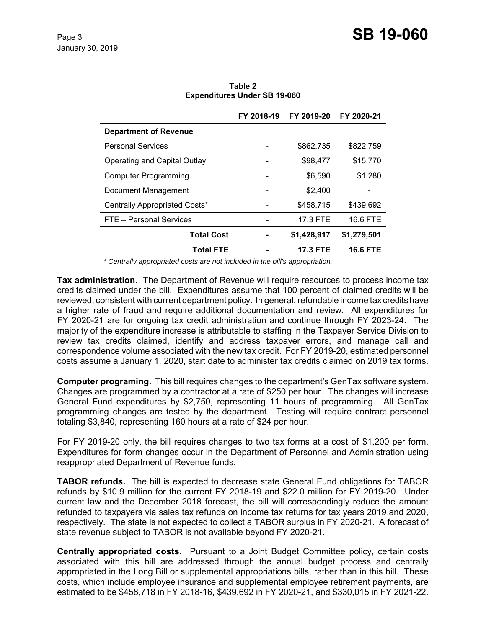|                               | FY 2018-19 | FY 2019-20      | FY 2020-21      |
|-------------------------------|------------|-----------------|-----------------|
| <b>Department of Revenue</b>  |            |                 |                 |
| <b>Personal Services</b>      |            | \$862,735       | \$822,759       |
| Operating and Capital Outlay  |            | \$98,477        | \$15,770        |
| <b>Computer Programming</b>   |            | \$6,590         | \$1,280         |
| Document Management           |            | \$2,400         |                 |
| Centrally Appropriated Costs* |            | \$458,715       | \$439,692       |
| FTE - Personal Services       |            | 17.3 FTE        | 16.6 FTE        |
| <b>Total Cost</b>             |            | \$1,428,917     | \$1,279,501     |
| <b>Total FTE</b>              |            | <b>17.3 FTE</b> | <b>16.6 FTE</b> |

**Table 2 Expenditures Under SB 19-060**

 *\* Centrally appropriated costs are not included in the bill's appropriation.*

**Tax administration.** The Department of Revenue will require resources to process income tax credits claimed under the bill. Expenditures assume that 100 percent of claimed credits will be reviewed, consistent with current department policy. In general, refundable income tax credits have a higher rate of fraud and require additional documentation and review. All expenditures for FY 2020-21 are for ongoing tax credit administration and continue through FY 2023-24. The majority of the expenditure increase is attributable to staffing in the Taxpayer Service Division to review tax credits claimed, identify and address taxpayer errors, and manage call and correspondence volume associated with the new tax credit. For FY 2019-20, estimated personnel costs assume a January 1, 2020, start date to administer tax credits claimed on 2019 tax forms.

**Computer programing.** This bill requires changes to the department's GenTax software system. Changes are programmed by a contractor at a rate of \$250 per hour. The changes will increase General Fund expenditures by \$2,750, representing 11 hours of programming. All GenTax programming changes are tested by the department. Testing will require contract personnel totaling \$3,840, representing 160 hours at a rate of \$24 per hour.

For FY 2019-20 only, the bill requires changes to two tax forms at a cost of \$1,200 per form. Expenditures for form changes occur in the Department of Personnel and Administration using reappropriated Department of Revenue funds.

**TABOR refunds.** The bill is expected to decrease state General Fund obligations for TABOR refunds by \$10.9 million for the current FY 2018-19 and \$22.0 million for FY 2019-20. Under current law and the December 2018 forecast, the bill will correspondingly reduce the amount refunded to taxpayers via sales tax refunds on income tax returns for tax years 2019 and 2020, respectively. The state is not expected to collect a TABOR surplus in FY 2020-21. A forecast of state revenue subject to TABOR is not available beyond FY 2020-21.

**Centrally appropriated costs.** Pursuant to a Joint Budget Committee policy, certain costs associated with this bill are addressed through the annual budget process and centrally appropriated in the Long Bill or supplemental appropriations bills, rather than in this bill. These costs, which include employee insurance and supplemental employee retirement payments, are estimated to be \$458,718 in FY 2018-16, \$439,692 in FY 2020-21, and \$330,015 in FY 2021-22.